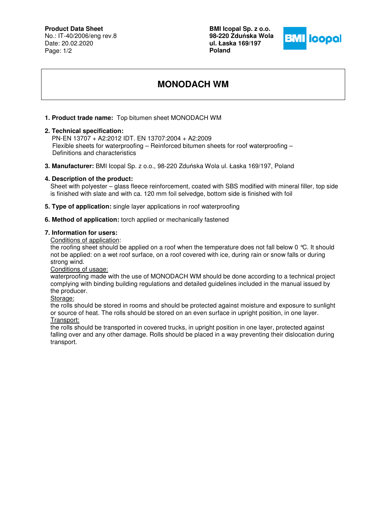# **Product Data Sheet**

No.: IT-40/2006/eng rev.8 Date: 20.02.2020 Page: 1/2

**BMI Icopal Sp. z o.o. 98-220 Zdu**ń**ska Wola ul. Łaska 169/197 Poland** 



# **MONODACH WM**

## **1. Product trade name:** Top bitumen sheet MONODACH WM

#### **2. Technical specification:**

 PN-EN 13707 + A2:2012 IDT. EN 13707:2004 + A2:2009 Flexible sheets for waterproofing – Reinforced bitumen sheets for roof waterproofing – Definitions and characteristics

**3. Manufacturer:** BMI Icopal Sp. z o.o., 98-220 Zduńska Wola ul. Łaska 169/197, Poland

#### **4. Description of the product:**

Sheet with polyester – glass fleece reinforcement, coated with SBS modified with mineral filler, top side is finished with slate and with ca. 120 mm foil selvedge, bottom side is finished with foil

- **5. Type of application:** single layer applications in roof waterproofing
- **6. Method of application:** torch applied or mechanically fastened

# **7. Information for users:**

Conditions of application:

the roofing sheet should be applied on a roof when the temperature does not fall below 0 °C. It should not be applied: on a wet roof surface, on a roof covered with ice, during rain or snow falls or during strong wind.

Conditions of usage:

waterproofing made with the use of MONODACH WM should be done according to a technical project complying with binding building regulations and detailed guidelines included in the manual issued by the producer.

Storage:

the rolls should be stored in rooms and should be protected against moisture and exposure to sunlight or source of heat. The rolls should be stored on an even surface in upright position, in one layer. Transport:

the rolls should be transported in covered trucks, in upright position in one layer, protected against falling over and any other damage. Rolls should be placed in a way preventing their dislocation during transport.